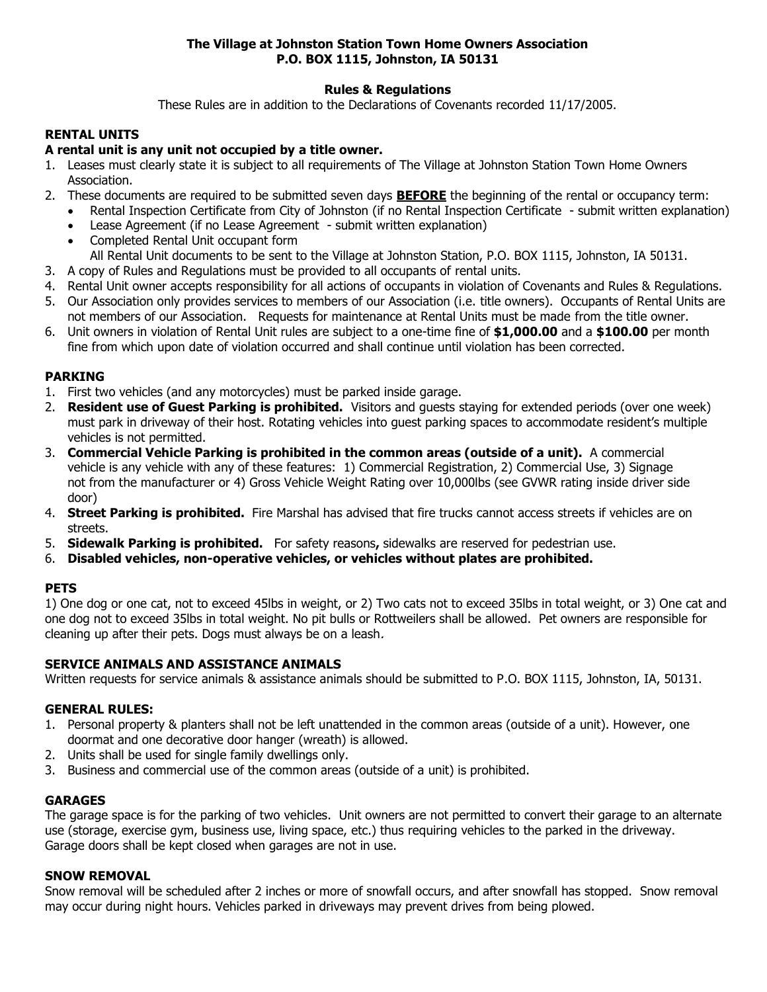# **The Village at Johnston Station Town Home Owners Association P.O. BOX 1115, Johnston, IA 50131**

# **Rules & Regulations**

These Rules are in addition to the Declarations of Covenants recorded 11/17/2005.

# **RENTAL UNITS**

### **A rental unit is any unit not occupied by a title owner.**

- 1. Leases must clearly state it is subject to all requirements of The Village at Johnston Station Town Home Owners Association.
- 2. These documents are required to be submitted seven days **BEFORE** the beginning of the rental or occupancy term:
	- Rental Inspection Certificate from City of Johnston (if no Rental Inspection Certificate submit written explanation)
	- Lease Agreement (if no Lease Agreement submit written explanation)
	- Completed Rental Unit occupant form All Rental Unit documents to be sent to the Village at Johnston Station, P.O. BOX 1115, Johnston, IA 50131.
- 3. A copy of Rules and Regulations must be provided to all occupants of rental units.
- 4. Rental Unit owner accepts responsibility for all actions of occupants in violation of Covenants and Rules & Regulations.
- 5. Our Association only provides services to members of our Association (i.e. title owners). Occupants of Rental Units are not members of our Association. Requests for maintenance at Rental Units must be made from the title owner.
- 6. Unit owners in violation of Rental Unit rules are subject to a one-time fine of **\$1,000.00** and a **\$100.00** per month fine from which upon date of violation occurred and shall continue until violation has been corrected.

### **PARKING**

- 1. First two vehicles (and any motorcycles) must be parked inside garage.
- 2. **Resident use of Guest Parking is prohibited.** Visitors and guests staying for extended periods (over one week) must park in driveway of their host. Rotating vehicles into guest parking spaces to accommodate resident's multiple vehicles is not permitted.
- 3. **Commercial Vehicle Parking is prohibited in the common areas (outside of a unit).** A commercial vehicle is any vehicle with any of these features: 1) Commercial Registration, 2) Commercial Use, 3) Signage not from the manufacturer or 4) Gross Vehicle Weight Rating over 10,000lbs (see GVWR rating inside driver side door)
- 4. **Street Parking is prohibited.** Fire Marshal has advised that fire trucks cannot access streets if vehicles are on streets.
- 5. **Sidewalk Parking is prohibited.** For safety reasons**,** sidewalks are reserved for pedestrian use.
- 6. **Disabled vehicles, non-operative vehicles, or vehicles without plates are prohibited.**

## **PETS**

1) One dog or one cat, not to exceed 45lbs in weight, or 2) Two cats not to exceed 35lbs in total weight, or 3) One cat and one dog not to exceed 35lbs in total weight. No pit bulls or Rottweilers shall be allowed. Pet owners are responsible for cleaning up after their pets. Dogs must always be on a leash.

## **SERVICE ANIMALS AND ASSISTANCE ANIMALS**

Written requests for service animals & assistance animals should be submitted to P.O. BOX 1115, Johnston, IA, 50131.

#### **GENERAL RULES:**

- 1. Personal property & planters shall not be left unattended in the common areas (outside of a unit). However, one doormat and one decorative door hanger (wreath) is allowed.
- 2. Units shall be used for single family dwellings only.
- 3. Business and commercial use of the common areas (outside of a unit) is prohibited.

#### **GARAGES**

The garage space is for the parking of two vehicles. Unit owners are not permitted to convert their garage to an alternate use (storage, exercise gym, business use, living space, etc.) thus requiring vehicles to the parked in the driveway. Garage doors shall be kept closed when garages are not in use.

### **SNOW REMOVAL**

Snow removal will be scheduled after 2 inches or more of snowfall occurs, and after snowfall has stopped. Snow removal may occur during night hours. Vehicles parked in driveways may prevent drives from being plowed.